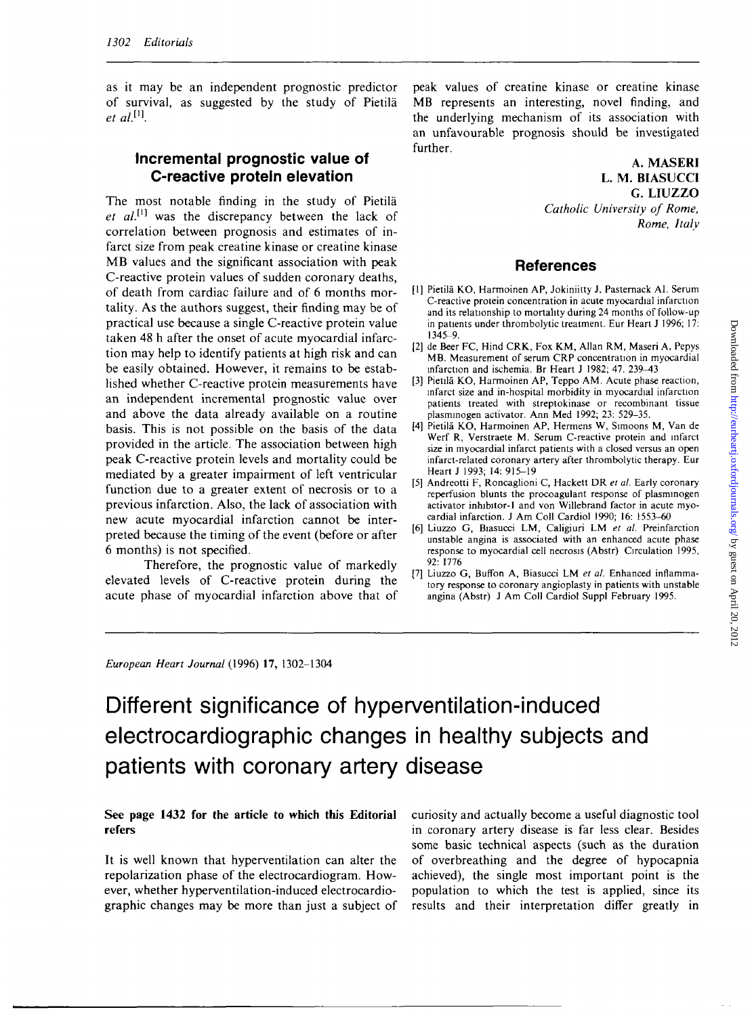as it may be an independent prognostic predictor of survival, as suggested by the study of Pietila  $et \text{ } al$   $^{[1]}$ 

### **Incremental prognostic value of C-reactive protein elevation**

The most notable finding in the study of Pietila *et al.*<sup>[1]</sup> was the discrepancy between the lack of correlation between prognosis and estimates of infarct size from peak creatine kinase or creatine kinase MB values and the significant association with peak C-reactive protein values of sudden coronary deaths, of death from cardiac failure and of 6 months mortality. As the authors suggest, their finding may be of practical use because a single C-reactive protein value taken 48 h after the onset of acute myocardial infarction may help to identify patients at high risk and can be easily obtained. However, it remains to be established whether C-reactive protein measurements have an independent incremental prognostic value over and above the data already available on a routine basis. This is not possible on the basis of the data provided in the article. The association between high peak C-reactive protein levels and mortality could be mediated by a greater impairment of left ventricular function due to a greater extent of necrosis or to a previous infarction. Also, the lack of association with new acute myocardial infarction cannot be interpreted because the timing of the event (before or after 6 months) is not specified.

Therefore, the prognostic value of markedly elevated levels of C-reactive protein during the acute phase of myocardial infarction above that of peak values of creatine kinase or creatine kinase MB represents an interesting, novel finding, and the underlying mechanism of its association with an unfavourable prognosis should be investigated further.

#### **A. MASERI L. M. BIASUCCI G. LIUZZO**

*Catholic University of Rome, Rome, Italy*

## **References**

- [1] Pietila KO, Harmoinen AP, Jokiniitty J, Pastemack AI. Serum C-reactive protein concentration in acute myocardial infarction and its relationship to mortality during 24 months of follow-up in patients under thrombolytic treatment. Eur Heart J 1996; 17: 1345-9.
- [2] de Beer FC, Hind CRK, Fox KM, Allan RM, Maseri A, Pepys MB. Measurement of serum CRP concentration in myocardial infarction and ischemia. Br Heart J 1982; 47. 239-43
- [3] Pietila KO, Harmoinen AP, Teppo AM. Acute phase reaction, infarct size and in-hospital morbidity in myocardial infarction patients treated with streptokinase or recombinant tissue plasminogen activator. Ann Med 1992; 23: 529-35.
- [4] Pietila KO, Harmoinen AP, Hermens W, Simoons M, Van de Werf R, Verstraete M. Serum C-reactive protein and infarct size in myocardial infarct patients with a closed versus an open infarct-related coronary artery after thrombolytic therapy. Eur Heart J 1993; 14: 915-19
- [5] Andreotti F, Roncaglioni C, Hackett DR *et al.* Early coronary reperfusion blunts the procoagulant response of plasminogen activator inhibitor-1 and von Willebrand factor in acute myocardial infarction. J Am Coll Cardiol 1990; 16: 1553-60
- [6] Liuzzo G, Biasucci LM, Caligiuri LM *et al.* Preinfarction unstable angina is associated with an enhanced acute phase response to myocardial cell necrosis (Abstr) Circulation 1995, 92: 1776
- [7] Liuzzo G, Buffon A, Biasucci LM *et al.* Enhanced inflammatory response to coronary angioplasty in patients with unstable angina (Abstr) J Am Coll Cardiol Suppl February 1995.

*European Heart Journal* (1996) 17, 1302-1304

# Different significance of hyperventilation-induced electrocardiographic changes in healthy subjects and patients with coronary artery disease

#### **See page 1432 for the article to which this Editorial refers**

It is well known that hyperventilation can alter the repolarization phase of the electrocardiogram. However, whether hyperventilation-induced electrocardiographic changes may be more than just a subject of curiosity and actually become a useful diagnostic tool in coronary artery disease is far less clear. Besides some basic technical aspects (such as the duration of overbreathing and the degree of hypocapnia achieved), the single most important point is the population to which the test is applied, since its results and their interpretation differ greatly in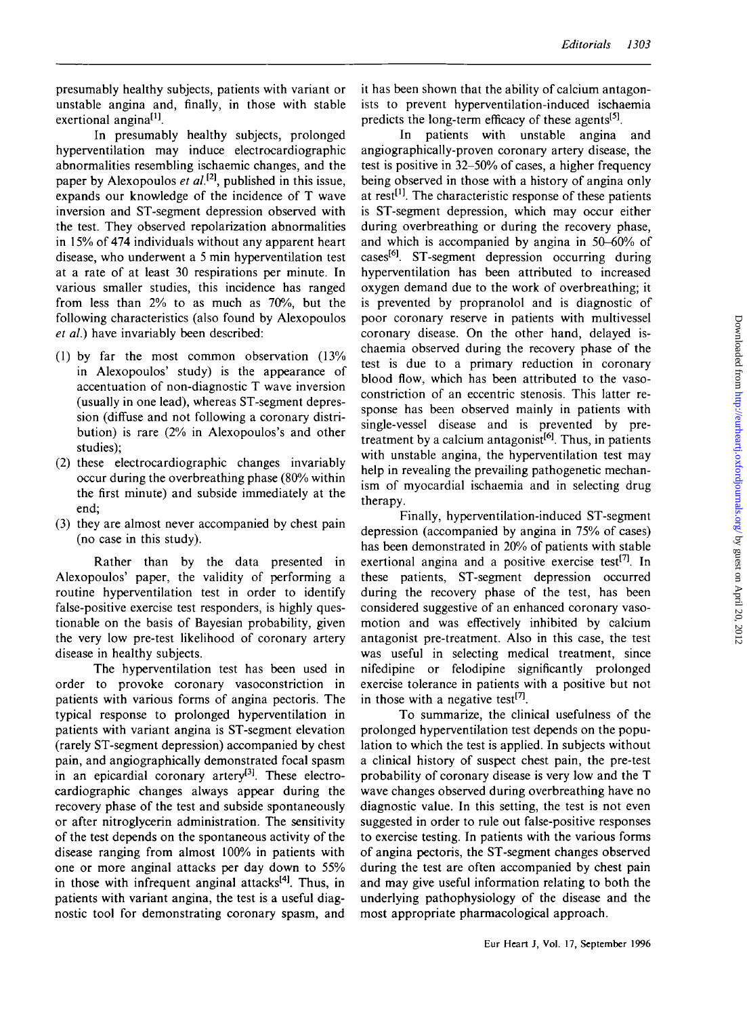presumably healthy subjects, patients with variant or unstable angina and, finally, in those with stable exertional angina<sup>[1]</sup>.

In presumably healthy subjects, prolonged hyperventilation may induce electrocardiographic abnormalities resembling ischaemic changes, and the paper by Alexopoulos *et al.[2\* published in this issue, expands our knowledge of the incidence of T wave inversion and ST-segment depression observed with the test. They observed repolarization abnormalities in 15% of 474 individuals without any apparent heart disease, who underwent a 5 min hyperventilation test at a rate of at least 30 respirations per minute. In various smaller studies, this incidence has ranged from less than 2% to as much as 70%, but the following characteristics (also found by Alexopoulos *et al.)* have invariably been described:

- (1) by far the most common observation (13% in Alexopoulos' study) is the appearance of accentuation of non-diagnostic T wave inversion (usually in one lead), whereas ST-segment depression (diffuse and not following a coronary distribution) is rare (2% in Alexopoulos's and other studies);
- (2) these electrocardiographic changes invariably occur during the overbreathing phase (80% within the first minute) and subside immediately at the end;
- (3) they are almost never accompanied by chest pain (no case in this study).

Rather than by the data presented in Alexopoulos' paper, the validity of performing a routine hyperventilation test in order to identify false-positive exercise test responders, is highly questionable on the basis of Bayesian probability, given the very low pre-test likelihood of coronary artery disease in healthy subjects.

The hyperventilation test has been used in order to provoke coronary vasoconstriction in patients with various forms of angina pectoris. The typical response to prolonged hyperventilation in patients with variant angina is ST-segment elevation (rarely ST-segment depression) accompanied by chest pain, and angiographically demonstrated focal spasm in an epicardial coronary artery<sup>[3]</sup>. These electrocardiographic changes always appear during the recovery phase of the test and subside spontaneously or after nitroglycerin administration. The sensitivity of the test depends on the spontaneous activity of the disease ranging from almost 100% in patients with one or more anginal attacks per day down to 55% in those with infrequent anginal attacks<sup>[4]</sup>. Thus, in patients with variant angina, the test is a useful diagnostic tool for demonstrating coronary spasm, and it has been shown that the ability of calcium antagonists to prevent hyperventilation-induced ischaemia predicts the long-term efficacy of these agents<sup>[5]</sup>.

In patients with unstable angina and angiographically-proven coronary artery disease, the test is positive in 32-50% of cases, a higher frequency being observed in those with a history of angina only at rest<sup>[1]</sup>. The characteristic response of these patients is ST-segment depression, which may occur either during overbreathing or during the recovery phase, and which is accompanied by angina in 50-60% of cases<sup>[6]</sup>. ST-segment depression occurring during hyperventilation has been attributed to increased oxygen demand due to the work of overbreathing; it is prevented by propranolol and is diagnostic of poor coronary reserve in patients with multivessel coronary disease. On the other hand, delayed ischaemia observed during the recovery phase of the test is due to a primary reduction in coronary blood flow, which has been attributed to the vasoconstriction of an eccentric stenosis. This latter response has been observed mainly in patients with single-vessel disease and is prevented by pretreatment by a calcium antagonist<sup>[6]</sup>. Thus, in patients with unstable angina, the hyperventilation test may help in revealing the prevailing pathogenetic mechanism of myocardial ischaemia and in selecting drug therapy.

Finally, hyperventilation-induced ST-segment depression (accompanied by angina in 75% of cases) has been demonstrated in 20% of patients with stable exertional angina and a positive exercise test<sup>[7]</sup>. In these patients, ST-segment depression occurred during the recovery phase of the test, has been considered suggestive of an enhanced coronary vasomotion and was effectively inhibited by calcium antagonist pre-treatment. Also in this case, the test was useful in selecting medical treatment, since nifedipine or felodipine significantly prolonged exercise tolerance in patients with a positive but not in those with a negative test<sup>[7]</sup>.

To summarize, the clinical usefulness of the prolonged hyperventilation test depends on the population to which the test is applied. In subjects without a clinical history of suspect chest pain, the pre-test probability of coronary disease is very low and the T wave changes observed during overbreathing have no diagnostic value. In this setting, the test is not even suggested in order to rule out false-positive responses to exercise testing. In patients with the various forms of angina pectoris, the ST-segment changes observed during the test are often accompanied by chest pain and may give useful information relating to both the underlying pathophysiology of the disease and the most appropriate pharmacological approach.